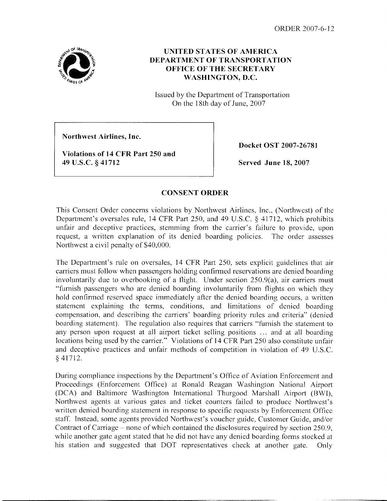

## **UNITED STATES OF AMERICA DEPARTMENT OF TRANSPORTATION OFFICE OF THE SECRETARY WASHINGTON, D.C.**

Issued by the Department of Transportation On the 18th day of June, 2007

**Northwest Airlines, Inc.** 

**Violations of 14 CFR Part 250 and** 

**Docket OST 2007-26781** 

**49 U.S.C.** *5* **41712 Served June 18,2007** 

## **CONSENT ORDER**

This Consent Order concerns violations by Northwest Airlines, Inc., (Northwest) of the Department's oversales rule, 14 CFR Part 250, and 49 U.S.C. *§* 41712, which prohibits unfair and deceptive practices, stemming from the carrier's failure to provide, upon request, a written explanation of its denied boarding policies. The order assesses Northwest a civil penalty of \$40,000.

The Department's rule on oversales, 14 CFR Part 250, sets explicit guidelines that air carriers must follow when passengers holding confirmed reservations are denied boarding involuntarily due to overbooking of a flight. Under section 250.9(a), air carriers must "furnish passengers who are denied boarding involuntarily from flights on which they hold confirmed reserved space immediately after the denied boarding occurs, a written statement explaining the terms, conditions, and limitations of denied boarding compensation, and describing the carriers' boarding priority rules and criteria" (denied boarding statement). The regulation also requires that carriers "furnish the statement to any person upon request at all airport ticket selling positions ... and at all boarding locations being used by the carrier." Violations of 14 CFR Part 250 also constitute unfair and deceptive practices and unfair methods of competition in violation of 49 U.S.C. g 41712.

During compliance inspections by the Department's Office of Aviation Enforcement and Proceedings (Enforcement Office) at Ronald Reagan Washington National Airport (DCA) and Baltimore Washington International Thurgood Marshall Airport (BWI), Northwest agents at various gates and ticket counters failed to produce Northwest's written denied boarding statement in response to specific requests by Enforcement Office staff. Instead, some agents provided Northwest's voucher guide, Customer Guide, and/or Contract of Carriage – none of which contained the disclosures required by section 250.9, while another gate agent stated that he did not have any denied boarding forms stocked at his station and suggested that DOT representatives check at another gate. Only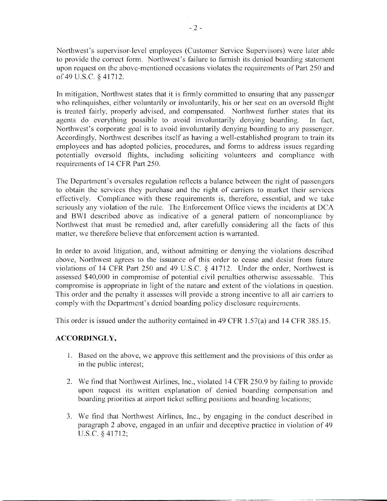Northwest's supervisor-level employees (Customer Service Supervisors) were later able to provide the correct form. Northwest's failure to furnish its denied boarding statement upon request on the above-mentioned occasions violates the requirements of Part 250 and of 49 U.S.C. § 41712.

In mitigation, Northwest states that it is firmly committed to ensuring that any passenger who relinquishes, either voluntarily or involuntarily, his or her seat on an oversold flight is treated fairly, properly advised, and compensated. Northwest further states that its agents do everything possible to avoid involuntarily denying boarding. In fact, Northwest's corporate goal is to avoid involuntarily denying boarding to any passenger. Accordingly, Northwest describes itself as having a well-established program to train its employees and has adopted policies, procedures, and forms to address issues regarding potentially oversold flights, including soliciting volunteers and compliance with requirements of 14 CFR Part 250.

The Department's oversales regulation reflects a balance between the right of passengers to obtain thc services they purchase and the right of carriers to market their services effectively. Compliance with these requirements is, therefore, essential, and we take seriously any violation of the rule. The Enforcement Office views the incidents at DCA and BWI described above as indicative of a general pattern of noncompliance by Northwest that must be remedied and, after carefully considering all the facts of this matter, we therefore believe that enforcement action is warranted.

In order to avoid litigation, and, without admitting or denying the violations described above, Northwest agrees to the issuance of this order to cease and desist from future violations of 14 CFR Part 250 and 49 U.S.C. \$ 41712. Under the order, Northwest is assessed \$40,000 in compromise of potential civil penalties otherwise assessable. This compromise is appropriate in light of the nature and extent of the violations in question. This order and the penalty it assesses will provide a strong incentive to all air carriers to comply with the Department's denied boarding policy disclosure requirements.

This order is issued under the authority contained in 49 CFR 1.57(a) and 14 CFR 385.15.

## **ACCORDINGLY,**

- 1. Based on the above, we approve this settlement and the provisions of this order as in the public interest;
- 2. We find that Northwest Airlines, Inc., violated 14 CFR 250.9 by failing to provide upon request its written explanation of denied boarding compensation and boarding priorities at airport ticket selling positions and boarding locations;
- 3. We find that Northwest Airlines, Inc., by engaging in the conduct described in paragraph 2 above, engaged in an unfair and deceptive practice in violation of 49 U.S.C. 9 41712;